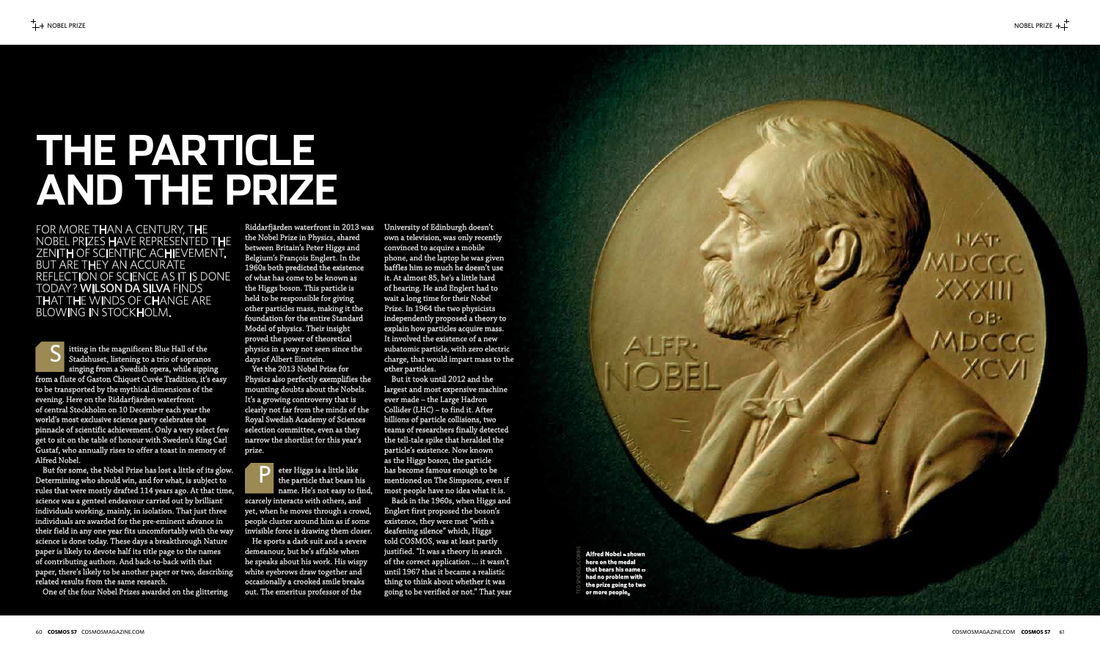itting in the magnificent Blue Hall of the Stadshuset, listening to a trio of sopranos singing from a Swedish opera, while sipping from a flute of Gaston Chiquet Cuvée Tradition, it's easy to be transported by the mythical dimensions of the evening. Here on the Riddarfjärden waterfront of central Stockholm on 10 December each year the world's most exclusive science party celebrates the pinnacle of scientific achievement. Only a very select few get to sit on the table of honour with Sweden's King Carl Gustaf, who annually rises to offer a toast in memory of Alfred Nobel. Soluting in the magnificent Blue Hall of the<br>Stadshuset, listening to a trio of sopranos<br>singing from a Swedish opera, while sipping<br>om a flute of Gaston Chiquet Cuvée Tradition, it's easy<br>be transported by the mythical di

But for some, the Nobel Prize has lost a little of its glow. Determining who should win, and for what, is subject to rules that were mostly drafted 114 years ago. At that time, science was a genteel endeavour carried out by brilliant individuals working, mainly, in isolation. That just three individuals are awarded for the pre-eminent advance in their field in any one year fits uncomfortably with the way science is done today. These days a breakthrough Nature paper is likely to devote half its title page to the names of contributing authors. And back-to-back with that paper, there's likely to be another paper or two, describing related results from the same research.<br>One of the four Nobel Prizes awarded on the glittering

FOR MORE THAN A CENTURY, THE NOBEL PRIZES HAVE REPRESENTED THE ZENITH OF SCIENTIFIC ACHIEVEMENT. BUT ARE THEY AN ACCURATE REFLECTION OF SCIENCE AS IT IS DONE TODAY? WILSON DA SILVA FINDS THAT THE WINDS OF CHANGE ARE BLOWING IN STOCKHOLM.

TED SPIEGEL/CORBIS



## **THE PARTICLE AND THE PRIZE**

Riddarfjärden waterfront in 2013 was University of Edinburgh doesn't the Nobel Prize in Physics, shared between Britain's Peter Higgs and Belgium's François Englert. In the 1960s both predicted the existence of what has come to be known as the Higgs boson. This particle is held to be responsible for giving other particles mass, making it the foundation for the entire Standard Model of physics. Their insight proved the power of theoretical physics in a way not seen since the days of Albert Einstein.

> **Alfred Nobel – shown here on the medal that bears his name – had no problem with the prize going to two or more peop**

ALFR

Yet the 2013 Nobel Prize for Physics also perfectly exemplifies the mounting doubts about the Nobels. It's a growing controversy that is clearly not far from the minds of the Royal Swedish Academy of Sciences selection committee, even as they narrow the shortlist for this year's prize.

He sports a dark suit and a severe demeanour, but he's affable when he speaks about his work. His wispy white eyebrows draw together and occasionally a crooked smile breaks out. The emeritus professor of the

own a television, was only recently convinced to acquire a mobile phone, and the laptop he was given baffles him so much he doesn't use it. At almost 85, he's a little hard of hearing. He and Englert had to wait a long time for their Nobel Prize. In 1964 the two physicists independently proposed a theory to explain how particles acquire mass. It involved the existence of a new subatomic particle, with zero electric charge, that would impart mass to the other particles.

eter Higgs is a little like the particle that bears his name. He's not easy to find, scarcely interacts with others, and yet, when he moves through a crowd, people cluster around him as if some invisible force is drawing them closer. P

But it took until 2012 and the largest and most expensive machine ever made – the Large Hadron Collider (LHC) – to find it. After billions of particle collisions, two teams of researchers finally detected the tell-tale spike that heralded the particle's existence. Now known as the Higgs boson, the particle has become famous enough to be mentioned on The Simpsons, even if most people have no idea what it is.

Back in the 1960s, when Higgs and Englert first proposed the boson's existence, they were met "with a deafening silence" which, Higgs told COSMOS, was at least partly justified. "It was a theory in search of the correct application … it wasn't until 1967 that it became a realistic thing to think about whether it was going to be verified or not." That year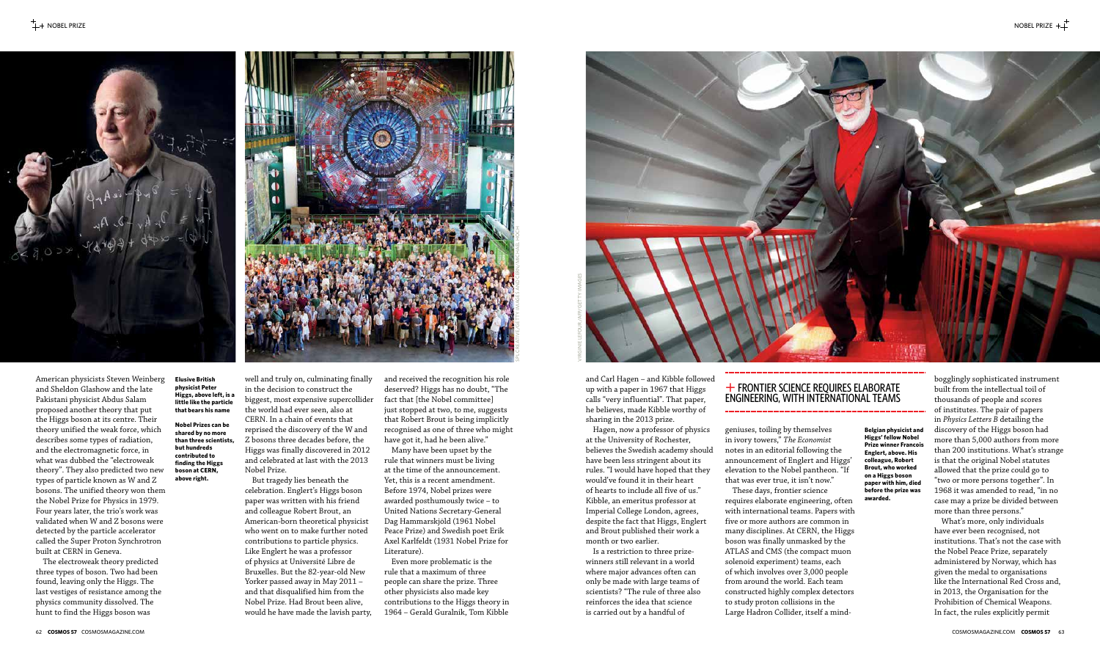



American physicists Steven Weinberg and Sheldon Glashow and the late Pakistani physicist Abdus Salam proposed another theory that put the Higgs boson at its centre. Their theory unified the weak force, which describes some types of radiation, and the electromagnetic force, in what was dubbed the "electroweak theory". They also predicted two new types of particle known as W and Z bosons. The unified theory won them the Nobel Prize for Physics in 1979. Four years later, the trio's work was validated when W and Z bosons were detected by the particle accelerator called the Super Proton Synchrotron built at CERN in Geneva.

The electroweak theory predicted three types of boson. Two had been found, leaving only the Higgs. The last vestiges of resistance among the physics community dissolved. The hunt to find the Higgs boson was

and received the recognition his role deserved? Higgs has no doubt, "The fact that [the Nobel committee] just stopped at two, to me, suggests that Robert Brout is being implicitly recognised as one of three who might have got it, had he been alive."

Many have been upset by the rule that winners must be living at the time of the announcement. Yet, this is a recent amendment. Before 1974, Nobel prizes were awarded posthumously twice – to United Nations Secretary-General Dag Hammarskjöld (1961 Nobel Peace Prize) and Swedish poet Erik Axel Karlfeldt (1931 Nobel Prize for Literature).

Even more problematic is the rule that a maximum of three people can share the prize. Three other physicists also made key contributions to the Higgs theory in 1964 – Gerald Guralnik, Tom Kibble

and Carl Hagen – and Kibble followed up with a paper in 1967 that Higgs calls "very influential". That paper, he believes, made Kibble worthy of sharing in the 2013 prize.

Hagen, now a professor of physics at the University of Rochester, believes the Swedish academy should have been less stringent about its rules. "I would have hoped that they would've found it in their heart of hearts to include all five of us." Kibble, an emeritus professor at Imperial College London, agrees, despite the fact that Higgs, Englert and Brout published their work a month or two earlier.

Is a restriction to three prizewinners still relevant in a world where major advances often can only be made with large teams of scientists? "The rule of three also reinforces the idea that science is carried out by a handful of

geniuses, toiling by themselves in ivory towers," *The Economist* notes in an editorial following the announcement of Englert and Higgs' elevation to the Nobel pantheon. "If that was ever true, it isn't now." These days, frontier science requires elaborate engineering, often with international teams. Papers with five or more authors are common in many disciplines. At CERN, the Higgs boson was finally unmasked by the ATLAS and CMS (the compact muon solenoid experiment) teams, each of which involves over 3,000 people from around the world. Each team constructed highly complex detectors to study proton collisions in the Large Hadron Collider, itself a mind-

well and truly on, culminating finally in the decision to construct the biggest, most expensive supercollider the world had ever seen, also at CERN. In a chain of events that reprised the discovery of the W and Z bosons three decades before, the Higgs was finally discovered in 2012 and celebrated at last with the 2013 Nobel Prize.

But tragedy lies beneath the celebration. Englert's Higgs boson paper was written with his friend and colleague Robert Brout, an American-born theoretical physicist who went on to make further noted contributions to particle physics. Like Englert he was a professor of physics at Université Libre de Bruxelles. But the 82-year-old New Yorker passed away in May 2011 – and that disqualified him from the Nobel Prize. Had Brout been alive, would he have made the lavish party,

## È FRONTIER SCIENCE REQUIRES ELABORATE ENGINEERING, WITH INTERNATIONAL TEAMS

bogglingly sophisticated instrument built from the intellectual toil of thousands of people and scores of institutes. The pair of papers in *Physics Letters B* detailing the discovery of the Higgs boson had more than 5,000 authors from more than 200 institutions. What's strange is that the original Nobel statutes allowed that the prize could go to "two or more persons together". In 1968 it was amended to read, "in no case may a prize be divided between more than three persons."

What's more, only individuals have ever been recognised, not institutions. That's not the case with the Nobel Peace Prize, separately administered by Norway, which has given the medal to organisations like the International Red Cross and, in 2013, the Organisation for the Prohibition of Chemical Weapons. In fact, the rules explicitly permit

SPL CREATIVE/GETTY IMAGES AND CERN/MICHAEL HOCH



**Elusive British physicist Peter Higgs, above left, is a little like the particle that bears his name**

**Nobel Prizes can be shared by no more than three scientists, but hundreds contributed to finding the Higgs boson at CERN, above right.**

**Belgian physicist and Higgs' fellow Nobel Prize winner Francois Englert, above. His colleague, Robert Brout, who worked on a Higgs boson paper with him, died before the prize was awarded.**